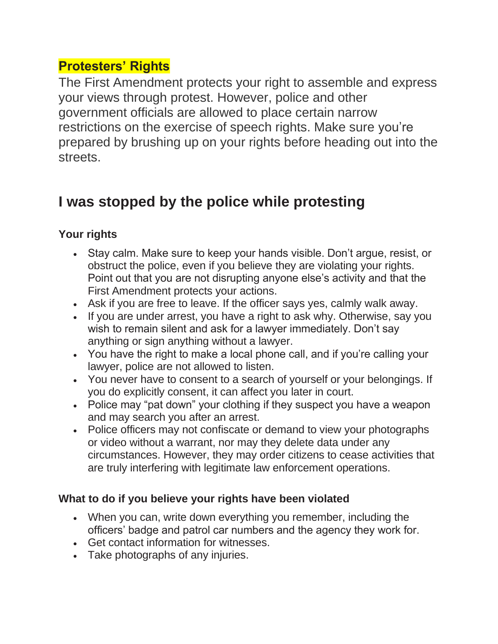## **Protesters' Rights**

The First Amendment protects your right to assemble and express your views through protest. However, police and other government officials are allowed to place certain narrow restrictions on the exercise of speech rights. Make sure you're prepared by brushing up on your rights before heading out into the streets.

## **I was stopped by the police while protesting**

## **Your rights**

- Stay calm. Make sure to keep your hands visible. Don't argue, resist, or obstruct the police, even if you believe they are violating your rights. Point out that you are not disrupting anyone else's activity and that the First Amendment protects your actions.
- Ask if you are free to leave. If the officer says yes, calmly walk away.
- If you are under arrest, you have a right to ask why. Otherwise, say you wish to remain silent and ask for a lawyer immediately. Don't say anything or sign anything without a lawyer.
- You have the right to make a local phone call, and if you're calling your lawyer, police are not allowed to listen.
- You never have to consent to a search of yourself or your belongings. If you do explicitly consent, it can affect you later in court.
- Police may "pat down" your clothing if they suspect you have a weapon and may search you after an arrest.
- Police officers may not confiscate or demand to view your photographs or video without a warrant, nor may they delete data under any circumstances. However, they may order citizens to cease activities that are truly interfering with legitimate law enforcement operations.

## **What to do if you believe your rights have been violated**

- When you can, write down everything you remember, including the officers' badge and patrol car numbers and the agency they work for.
- Get contact information for witnesses.
- Take photographs of any injuries.